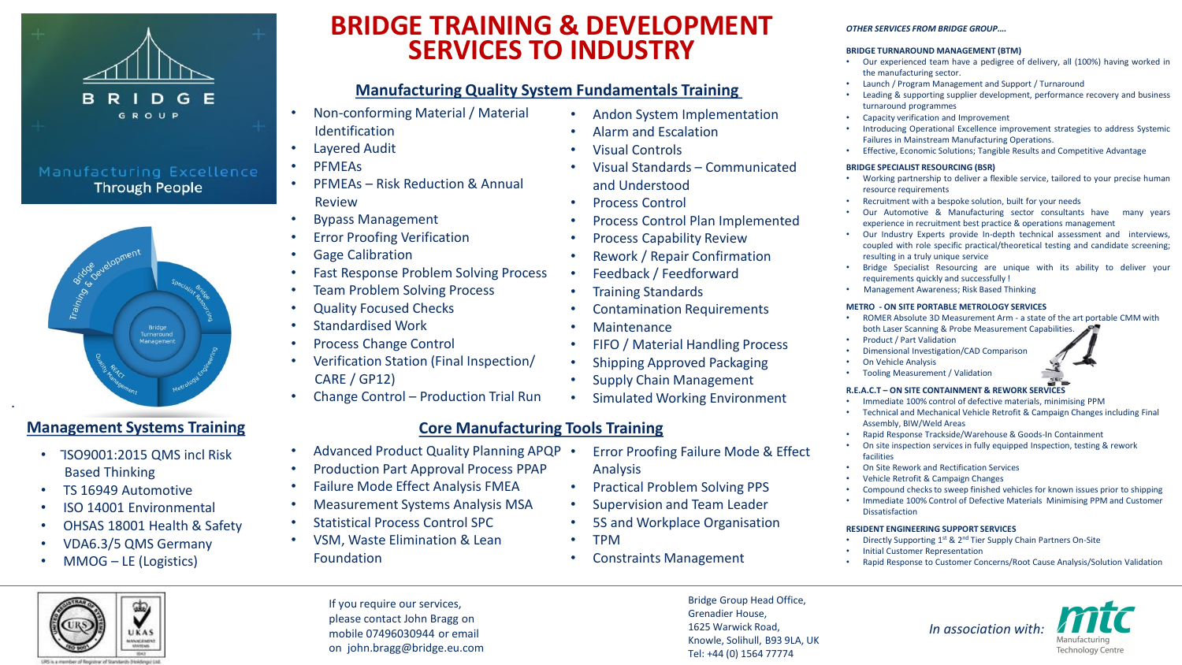

## Manufacturing Excellence **Through People**



- TSO9001:2015 QMS incl Risk Based Thinking
- TS 16949 Automotive

.

- ISO 14001 Environmental
- OHSAS 18001 Health & Safety
- VDA6.3/5 QMS Germany
- MMOG LE (Logistics)

# **BRIDGE TRAINING & DEVELOPMENT SERVICES TO INDUSTRY**

## **Manufacturing Quality System Fundamentals Training**

- Non-conforming Material / Material Identification
- Layered Audit
- PFMEAs
- PFMEAs Risk Reduction & Annual Review
- Bypass Management
- **Error Proofing Verification**
- **Gage Calibration**
- Fast Response Problem Solving Process
- **Team Problem Solving Process**
- Quality Focused Checks
- Standardised Work
- Process Change Control
- Verification Station (Final Inspection/ CARE / GP12)
- Change Control Production Trial Run

## **Management Systems Training Core Manufacturing Tools Training**

- Advanced Product Quality Planning APQP .
- Production Part Approval Process PPAP
- Failure Mode Effect Analysis FMEA
- Measurement Systems Analysis MSA
- Statistical Process Control SPC
- VSM, Waste Elimination & Lean Foundation
- Andon System Implementation • Alarm and Escalation
- Visual Controls
- Visual Standards Communicated and Understood
- Process Control
- Process Control Plan Implemented
- Process Capability Review
- Rework / Repair Confirmation
- Feedback / Feedforward
- Training Standards
- Contamination Requirements
- Maintenance
- FIFO / Material Handling Process
- Shipping Approved Packaging
- Supply Chain Management
- Simulated Working Environment
- 

- Error Proofing Failure Mode & Effect Analysis
- Practical Problem Solving PPS
- Supervision and Team Leader
- 5S and Workplace Organisation
- TPM
- Constraints Management

Bridge Group Head Office, Knowle, Solihull, B93 9LA, UK Tel: +44 (0) 1564 77774

- Assembly, BIW/Weld Areas
- Rapid Response Trackside/Warehouse & Goods-In Containment
- On site inspection services in fully equipped Inspection, testing & rework facilities
- On Site Rework and Rectification Services
- Vehicle Retrofit & Campaign Changes
- Compound checks to sweep finished vehicles for known issues prior to shipping
- Immediate 100% Control of Defective Materials Minimising PPM and Customer Dissatisfaction

### **RESIDENT ENGINEERING SUPPORT SERVICES**

- Directly Supporting 1st & 2nd Tier Supply Chain Partners On-Site
- Initial Customer Representation
- Rapid Response to Customer Concerns/Root Cause Analysis/Solution Validation





If you require our services, please contact John Bragg on mobile 07496030944 or email on john.bragg@bridge.eu.com

Grenadier House, 1625 Warwick Road, • Capacity verification and Improvement • Introducing Operational Excellence improvement strategies to address Systemic Failures in Mainstream Manufacturing Operations.

*OTHER SERVICES FROM BRIDGE GROUP….* **BRIDGE TURNAROUND MANAGEMENT (BTM)**

the manufacturing sector.

turnaround programmes

• Effective, Economic Solutions; Tangible Results and Competitive Advantage

#### **BRIDGE SPECIALIST RESOURCING (BSR)**

• Working partnership to deliver a flexible service, tailored to your precise human resource requirements

• Our experienced team have a pedigree of delivery, all (100%) having worked in

• Leading & supporting supplier development, performance recovery and business

Recruitment with a bespoke solution, built for your needs

• Launch / Program Management and Support / Turnaround

- Our Automotive & Manufacturing sector consultants have many years experience in recruitment best practice & operations management
- Our Industry Experts provide In-depth technical assessment and interviews, coupled with role specific practical/theoretical testing and candidate screening; resulting in a truly unique service
- Bridge Specialist Resourcing are unique with its ability to deliver your requirements quickly and successfully !
- Management Awareness; Risk Based Thinking

### **METRO - ON SITE PORTABLE METROLOGY SERVICES**

- ROMER Absolute 3D Measurement Arm a state of the art portable CMM with both Laser Scanning & Probe Measurement Capabilities.
- Product / Part Validation
- Dimensional Investigation/CAD Comparison
- On Vehicle Analysis
- Tooling Measurement / Validation

### **R.E.A.C.T – ON SITE CONTAINMENT & REWORK SERVICES**

- Immediate 100% control of defective materials, minimising PPM
- Technical and Mechanical Vehicle Retrofit & Campaign Changes including Final
- 
- 
- 
- 
- 
-